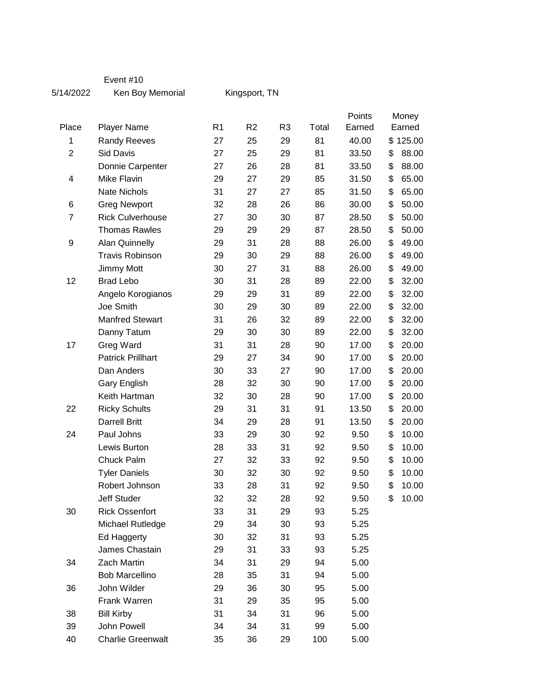## Event #10

5/14/2022 Ken Boy Memorial

Kingsport, TN

| Place          |                          | R <sub>1</sub> | R <sub>2</sub> | R <sub>3</sub> |       | Points<br>Earned | Money  |          |
|----------------|--------------------------|----------------|----------------|----------------|-------|------------------|--------|----------|
|                | <b>Player Name</b>       |                |                |                | Total |                  | Earned |          |
| 1              | <b>Randy Reeves</b>      | 27             | 25             | 29             | 81    | 40.00            |        | \$125.00 |
| $\overline{2}$ | <b>Sid Davis</b>         | 27             | 25             | 29             | 81    | 33.50            | \$     | 88.00    |
|                | Donnie Carpenter         | 27             | 26             | 28             | 81    | 33.50            | \$     | 88.00    |
| 4              | <b>Mike Flavin</b>       | 29             | 27             | 29             | 85    | 31.50            | \$     | 65.00    |
|                | <b>Nate Nichols</b>      | 31             | 27             | 27             | 85    | 31.50            | \$     | 65.00    |
| 6              | <b>Greg Newport</b>      | 32             | 28             | 26             | 86    | 30.00            | \$     | 50.00    |
| $\overline{7}$ | <b>Rick Culverhouse</b>  | 27             | 30             | 30             | 87    | 28.50            | \$     | 50.00    |
|                | <b>Thomas Rawles</b>     | 29             | 29             | 29             | 87    | 28.50            | \$     | 50.00    |
| 9              | <b>Alan Quinnelly</b>    | 29             | 31             | 28             | 88    | 26.00            | \$     | 49.00    |
|                | <b>Travis Robinson</b>   | 29             | 30             | 29             | 88    | 26.00            | \$     | 49.00    |
|                | Jimmy Mott               | 30             | 27             | 31             | 88    | 26.00            | \$     | 49.00    |
| 12             | <b>Brad Lebo</b>         | 30             | 31             | 28             | 89    | 22.00            | \$     | 32.00    |
|                | Angelo Korogianos        | 29             | 29             | 31             | 89    | 22.00            | \$     | 32.00    |
|                | Joe Smith                | 30             | 29             | 30             | 89    | 22.00            | \$     | 32.00    |
|                | <b>Manfred Stewart</b>   | 31             | 26             | 32             | 89    | 22.00            | \$     | 32.00    |
|                | Danny Tatum              | 29             | 30             | 30             | 89    | 22.00            | \$     | 32.00    |
| 17             | Greg Ward                | 31             | 31             | 28             | 90    | 17.00            | \$     | 20.00    |
|                | <b>Patrick Prillhart</b> | 29             | 27             | 34             | 90    | 17.00            | \$     | 20.00    |
|                | Dan Anders               | 30             | 33             | 27             | 90    | 17.00            | \$     | 20.00    |
|                | Gary English             | 28             | 32             | 30             | 90    | 17.00            | \$     | 20.00    |
|                | Keith Hartman            | 32             | 30             | 28             | 90    | 17.00            | \$     | 20.00    |
| 22             | <b>Ricky Schults</b>     | 29             | 31             | 31             | 91    | 13.50            | \$     | 20.00    |
|                | <b>Darrell Britt</b>     | 34             | 29             | 28             | 91    | 13.50            | \$     | 20.00    |
| 24             | Paul Johns               | 33             | 29             | 30             | 92    | 9.50             | \$     | 10.00    |
|                | Lewis Burton             | 28             | 33             | 31             | 92    | 9.50             | \$     | 10.00    |
|                | Chuck Palm               | 27             | 32             | 33             | 92    | 9.50             | \$     | 10.00    |
|                | <b>Tyler Daniels</b>     | 30             | 32             | 30             | 92    | 9.50             | \$     | 10.00    |
|                | Robert Johnson           | 33             | 28             | 31             | 92    | 9.50             | \$     | 10.00    |
|                | <b>Jeff Studer</b>       | 32             | 32             | 28             | 92    | 9.50             | \$     | 10.00    |
| 30             | <b>Rick Ossenfort</b>    | 33             | 31             | 29             | 93    | 5.25             |        |          |
|                | Michael Rutledge         | 29             | 34             | 30             | 93    | 5.25             |        |          |
|                | Ed Haggerty              | 30             | 32             | 31             | 93    | 5.25             |        |          |
|                | James Chastain           | 29             | 31             | 33             | 93    | 5.25             |        |          |
| 34             | Zach Martin              | 34             | 31             | 29             | 94    | 5.00             |        |          |
|                | <b>Bob Marcellino</b>    | 28             | 35             | 31             | 94    | 5.00             |        |          |
| 36             | John Wilder              | 29             | 36             | 30             | 95    | 5.00             |        |          |
|                | Frank Warren             | 31             | 29             | 35             | 95    | 5.00             |        |          |
| 38             | <b>Bill Kirby</b>        | 31             | 34             | 31             | 96    | 5.00             |        |          |
| 39             | John Powell              | 34             | 34             | 31             | 99    | 5.00             |        |          |
| 40             | <b>Charlie Greenwalt</b> | 35             | 36             | 29             | 100   | 5.00             |        |          |
|                |                          |                |                |                |       |                  |        |          |